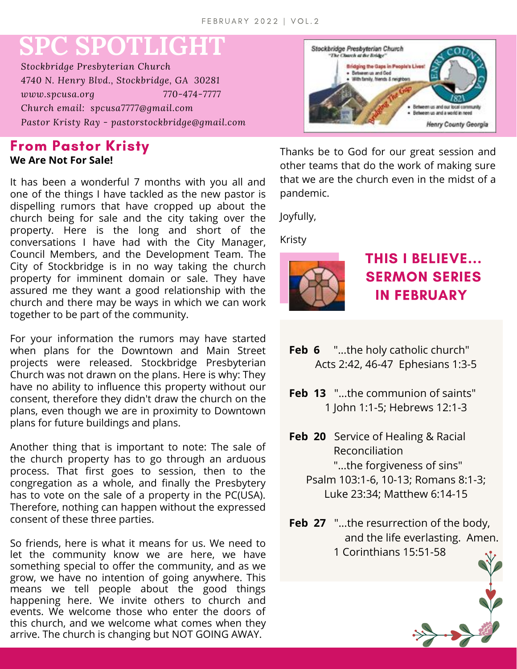# **SPC SPOTLIGHT**

*Stockbridge Presbyterian Church 4740 N. Henry Blvd., Stockbridge, GA 30281 www.spcusa.org 770-474-7777 Church email: spcusa7777@gmail.com Pastor Kristy Ray - pastorstockbridge@gmail.com*

#### **From Pastor Kristy We Are Not For Sale!**

It has been a wonderful 7 months with you all and one of the things I have tackled as the new pastor is dispelling rumors that have cropped up about the church being for sale and the city taking over the property. Here is the long and short of the conversations I have had with the City Manager, Council Members, and the Development Team. The City of Stockbridge is in no way taking the church property for imminent domain or sale. They have assured me they want a good relationship with the church and there may be ways in which we can work together to be part of the community.

For your information the rumors may have started when plans for the Downtown and Main Street projects were released. Stockbridge Presbyterian Church was not drawn on the plans. Here is why: They have no ability to influence this property without our consent, therefore they didn't draw the church on the plans, even though we are in proximity to Downtown plans for future buildings and plans.

Another thing that is important to note: The sale of the church property has to go through an arduous process. That first goes to session, then to the congregation as a whole, and finally the Presbytery has to vote on the sale of a property in the PC(USA). Therefore, nothing can happen without the expressed consent of these three parties.

So friends, here is what it means for us. We need to let the community know we are here, we have something special to offer the community, and as we grow, we have no intention of going anywhere. This means we tell people about the good things happening here. We invite others to church and events. We welcome those who enter the doors of this church, and we welcome what comes when they arrive. The church is changing but NOT GOING AWAY.



Thanks be to God for our great session and other teams that do the work of making sure that we are the church even in the midst of a pandemic.

Joyfully,

Kristy



## **THIS I BELIEVE... SERMON SERIES IN FEBRUARY**

- **Feb 6** "...the holy catholic church" Acts 2:42, 46-47 Ephesians 1:3-5
- **Feb 13** "...the communion of saints" 1 John 1:1-5; Hebrews 12:1-3
- **Feb 20** Service of Healing & Racial Reconciliation "...the forgiveness of sins" Psalm 103:1-6, 10-13; Romans 8:1-3;
	- Luke 23:34; Matthew 6:14-15
- **Feb 27** "...the resurrection of the body, and the life everlasting. Amen. 1 Corinthians 15:51-58

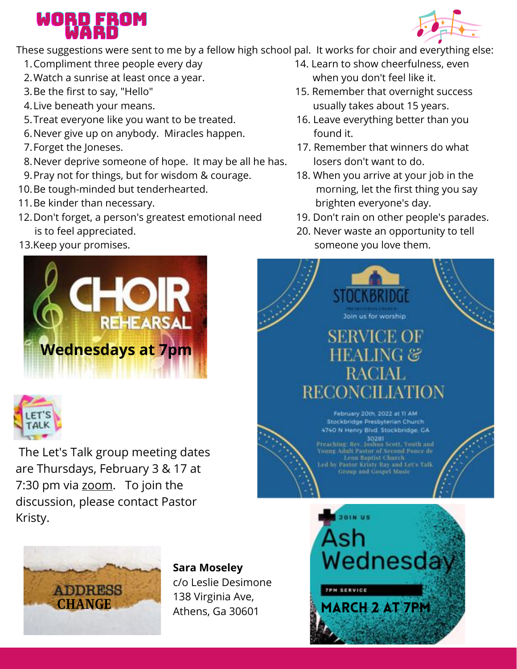## WORD FROM WARD

These suggestions were sent to me by a fellow high school pal. It works for choir and everything else:

- Compliment three people every day 14. Learn to show cheerfulness, even 1.
- Watch a sunrise at least once a year. when you don't feel like it. 2.
- 3. Be the first to say, "Hello"
- 4. Live beneath your means.
- 5.Treat everyone like you want to be treated. 16. Leave everything better than you
- 6. Never give up on anybody. Miracles happen. The mond it.
- 7. Forget the Joneses.
- 8. Never deprive someone of hope. It may be all he has. losers don't want to do.
- Pray not for things, but for wisdom & courage. 18. When you arrive at your job in the 9.
- 10. Be tough-minded but tenderhearted. The morning of the first thing you say
- 11. Be kinder than necessary. The same state of the brighten everyone's day.
- 12. Don't forget, a person's greatest emotional need 19. Don't rain on other people's parades. is to feel appreciated. 20. Never waste an opportunity to tell
- 





The Let's Talk group meeting dates are Thursdays, February 3 & 17 at 7:30 pm via [zoom](https://zoom.us/j/94536239897?pwd=dm55aWllbUlkL0RnRzRhR0NBeUp1QT09#success). To join the discussion, please contact Pastor Kristy.



- 15. Remember that overnight success usually takes about 15 years.
- 
- 17. Remember that winners do what
- 
- 
- 13. Keep your promises. The same of the someone you love them.





**Sara Moseley** c/o Leslie Desimone 138 Virginia Ave, Athens, Ga 30601



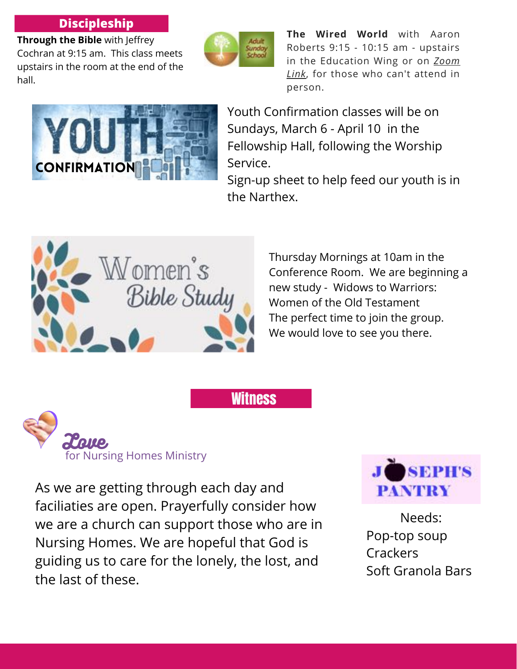#### **Discipleship**

**Through the Bible** with Jeffrey Cochran at 9:15 am. This class meets upstairs in the room at the end of the hall.



**Witness** 

**The Wired World** with Aaron Roberts 9:15 - 10:15 am - upstairs in the [Education](https://us06web.zoom.us/j/95920871825?pwd=UERxYUY5TGxKcEQrcnphcnF2US9xdz09#success) Wing or on *Zoom Link*, for those who can't attend in person.



Youth Confirmation classes will be on Sundays, March 6 - April 10 in the Fellowship Hall, following the Worship Service.

Sign-up sheet to help feed our youth is in the Narthex.



Thursday Mornings at 10am in the Conference Room. We are beginning a new study - Widows to Warriors: Women of the Old Testament The perfect time to join the group. We would love to see you there.



As we are getting through each day and faciliaties are open. Prayerfully consider how we are a church can support those who are in Nursing Homes. We are hopeful that God is guiding us to care for the lonely, the lost, and the last of these.



Needs: Pop-top soup **Crackers** Soft Granola Bars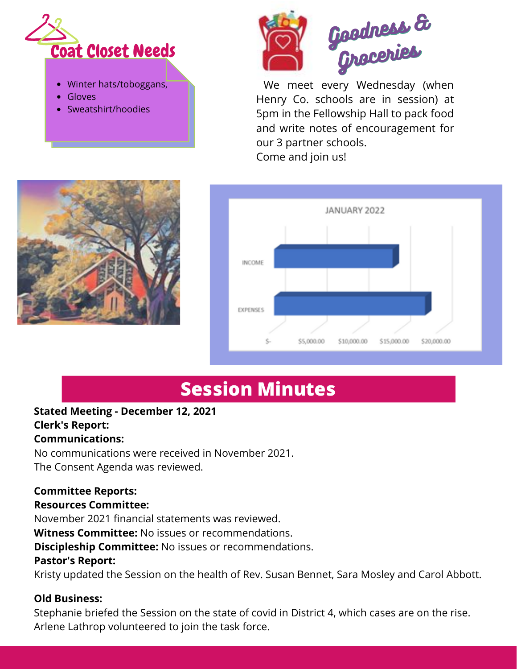

- Winter hats/toboggans,
- Gloves
- Sweatshirt/hoodies



We meet every Wednesday (when Henry Co. schools are in session) at 5pm in the Fellowship Hall to pack food and write notes of encouragement for our 3 partner schools. Come and join us!





# **Session Minutes**

### **Stated Meeting - December 12, 2021 Clerk's Report:**

#### **Communications:**

No communications were received in November 2021. The Consent Agenda was reviewed.

#### **Committee Reports:**

#### **Resources Committee:**

November 2021 financial statements was reviewed.

**Witness Committee:** No issues or recommendations.

**Discipleship Committee:** No issues or recommendations.

#### **Pastor's Report:**

Kristy updated the Session on the health of Rev. Susan Bennet, Sara Mosley and Carol Abbott.

#### **Old Business:**

Stephanie briefed the Session on the state of covid in District 4, which cases are on the rise. Arlene Lathrop volunteered to join the task force.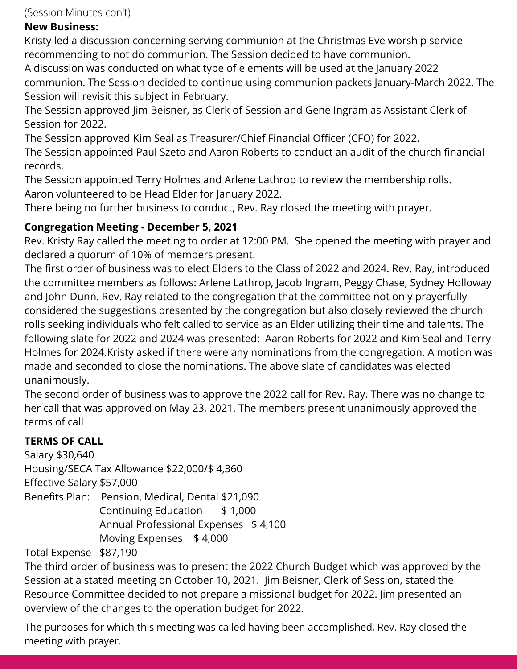(Session Minutes con't)

#### **New Business:**

Kristy led a discussion concerning serving communion at the Christmas Eve worship service recommending to not do communion. The Session decided to have communion.

A discussion was conducted on what type of elements will be used at the January 2022 communion. The Session decided to continue using communion packets January-March 2022. The Session will revisit this subject in February.

The Session approved Jim Beisner, as Clerk of Session and Gene Ingram as Assistant Clerk of Session for 2022.

The Session approved Kim Seal as Treasurer/Chief Financial Officer (CFO) for 2022.

The Session appointed Paul Szeto and Aaron Roberts to conduct an audit of the church financial records.

The Session appointed Terry Holmes and Arlene Lathrop to review the membership rolls. Aaron volunteered to be Head Elder for January 2022.

There being no further business to conduct, Rev. Ray closed the meeting with prayer.

#### **Congregation Meeting - December 5, 2021**

Rev. Kristy Ray called the meeting to order at 12:00 PM. She opened the meeting with prayer and declared a quorum of 10% of members present.

The first order of business was to elect Elders to the Class of 2022 and 2024. Rev. Ray, introduced the committee members as follows: Arlene Lathrop, Jacob Ingram, Peggy Chase, Sydney Holloway and John Dunn. Rev. Ray related to the congregation that the committee not only prayerfully considered the suggestions presented by the congregation but also closely reviewed the church rolls seeking individuals who felt called to service as an Elder utilizing their time and talents. The following slate for 2022 and 2024 was presented: Aaron Roberts for 2022 and Kim Seal and Terry Holmes for 2024.Kristy asked if there were any nominations from the congregation. A motion was made and seconded to close the nominations. The above slate of candidates was elected unanimously.

The second order of business was to approve the 2022 call for Rev. Ray. There was no change to her call that was approved on May 23, 2021. The members present unanimously approved the terms of call

#### **TERMS OF CALL**

Salary \$30,640 Housing/SECA Tax Allowance \$22,000/\$ 4,360 Effective Salary \$57,000 Benefits Plan: Pension, Medical, Dental \$21,090 Continuing Education \$ 1,000 Annual Professional Expenses \$4,100 Moving Expenses \$ 4,000

Total Expense \$87,190

The third order of business was to present the 2022 Church Budget which was approved by the Session at a stated meeting on October 10, 2021. Jim Beisner, Clerk of Session, stated the Resource Committee decided to not prepare a missional budget for 2022. Jim presented an overview of the changes to the operation budget for 2022.

The purposes for which this meeting was called having been accomplished, Rev. Ray closed the meeting with prayer.